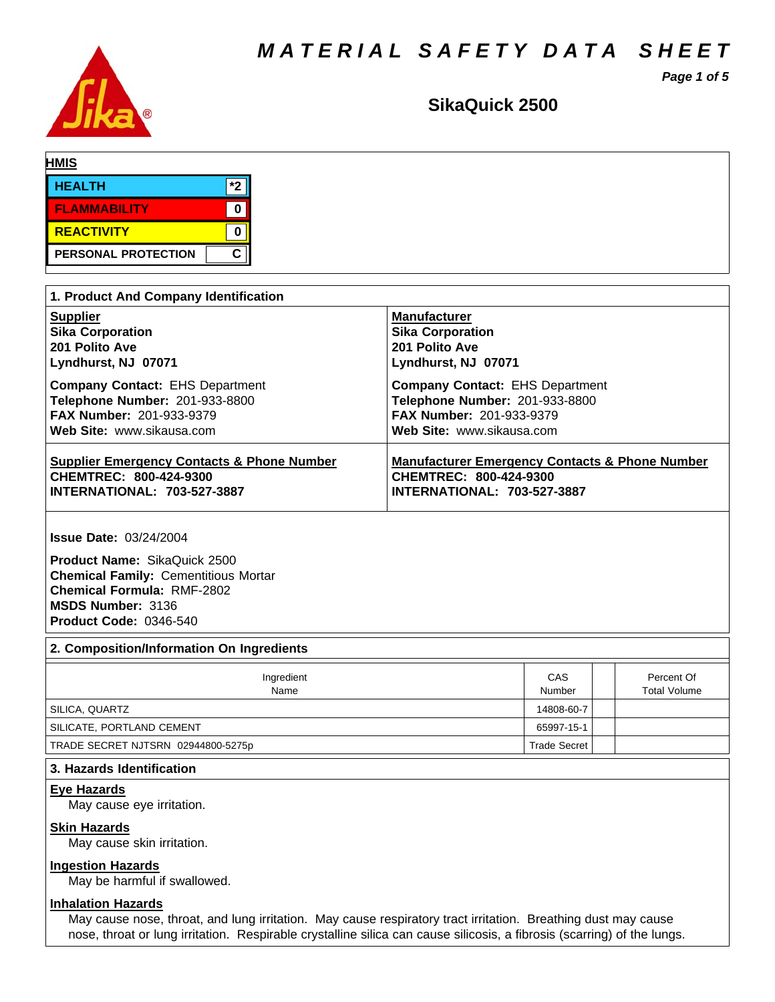*MATERIAL SAFETY DATA SHEET*

*Page 1 of 5*



# SikaQuick 2500

| <b>HMIS</b>         |      |  |  |
|---------------------|------|--|--|
| <b>HEALTH</b>       | $*2$ |  |  |
| <b>FLAMMABILITY</b> |      |  |  |
| REACTIVITY          |      |  |  |
| PERSONAL PROTECTION | С    |  |  |

| 1. Product And Company Identification                 |                                                           |  |  |  |  |
|-------------------------------------------------------|-----------------------------------------------------------|--|--|--|--|
| <b>Supplier</b>                                       | <b>Manufacturer</b>                                       |  |  |  |  |
| <b>Sika Corporation</b>                               | <b>Sika Corporation</b>                                   |  |  |  |  |
| 201 Polito Ave                                        | 201 Polito Ave                                            |  |  |  |  |
| Lyndhurst, NJ 07071                                   | Lyndhurst, NJ 07071                                       |  |  |  |  |
| <b>Company Contact: EHS Department</b>                | <b>Company Contact: EHS Department</b>                    |  |  |  |  |
| Telephone Number: 201-933-8800                        | Telephone Number: 201-933-8800                            |  |  |  |  |
| <b>FAX Number: 201-933-9379</b>                       | FAX Number: 201-933-9379                                  |  |  |  |  |
| Web Site: www.sikausa.com                             | Web Site: www.sikausa.com                                 |  |  |  |  |
| <b>Supplier Emergency Contacts &amp; Phone Number</b> | <b>Manufacturer Emergency Contacts &amp; Phone Number</b> |  |  |  |  |
| CHEMTREC: 800-424-9300                                | <b>CHEMTREC: 800-424-9300</b>                             |  |  |  |  |
| <b>INTERNATIONAL: 703-527-3887</b>                    | <b>INTERNATIONAL: 703-527-3887</b>                        |  |  |  |  |

**Issue Date:** 03/24/2004

**Product Name:** SikaQuick 2500 **Chemical Family:** Cementitious Mortar **Chemical Formula:** RMF-2802 **MSDS Number:** 3136 **Product Code:** 0346-540

# **2. Composition/Information On Ingredients**

| Ingredient<br>Name                 | CAS<br>Number       | Percent Of<br><b>Total Volume</b> |
|------------------------------------|---------------------|-----------------------------------|
| SILICA, QUARTZ                     | 14808-60-7          |                                   |
| SILICATE, PORTLAND CEMENT          | 65997-15-1          |                                   |
| TRADE SECRET NJTSRN 02944800-5275p | <b>Trade Secret</b> |                                   |

# **3. Hazards Identification**

#### **Eye Hazards**

May cause eye irritation.

# **Skin Hazards**

May cause skin irritation.

# **Ingestion Hazards**

May be harmful if swallowed.

# **Inhalation Hazards**

May cause nose, throat, and lung irritation. May cause respiratory tract irritation. Breathing dust may cause nose, throat or lung irritation. Respirable crystalline silica can cause silicosis, a fibrosis (scarring) of the lungs.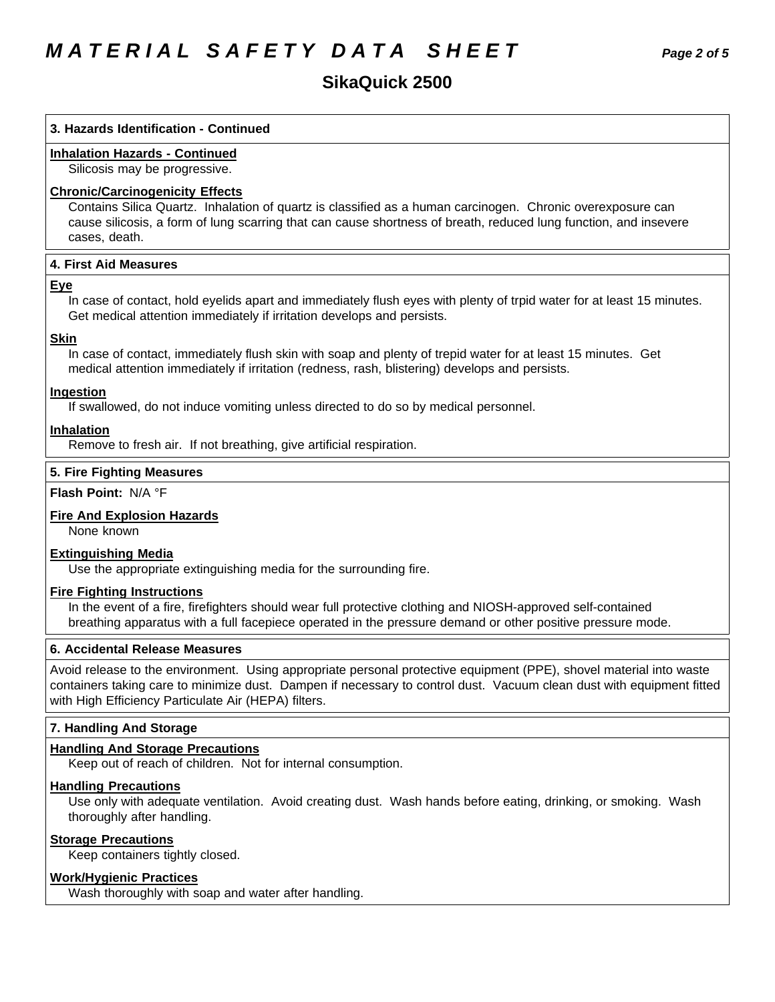# **SikaQuick2500**

# **3. Hazards Identification - Continued**

# **Inhalation Hazards - Continued**

Silicosis may be progressive.

#### **Chronic/Carcinogenicity Effects**

Contains Silica Quartz. Inhalation of quartz is classified as a human carcinogen. Chronic overexposure can cause silicosis, a form of lung scarring that can cause shortness of breath, reduced lung function, and insevere cases, death.

# **4.First AidMeasures**

#### **Eye**

In case of contact, hold eyelids apart and immediately flush eyes with plenty of trpid water for at least 15 minutes. Get medical attention immediately if irritation develops and persists.

#### **Skin**

In case of contact, immediately flush skin with soap and plenty of trepid water for at least 15 minutes. Get medical attention immediately if irritation (redness, rash, blistering) develops and persists.

#### **Ingestion**

If swallowed, do not induce vomiting unless directed to do so by medical personnel.

#### **Inhalation**

Remove to fresh air. If not breathing, give artificial respiration.

#### **5. Fire Fighting Measures**

# **Flash Point:** N/A°F

# **Fire And Explosion Hazards**

None known

#### **Extinguishing Media**

Use the appropriate extinguishing media for the surrounding fire.

#### **Fire Fighting Instructions**

In the event of a fire, firefighters should wear full protective clothing and NIOSH-approved self-contained breathing apparatus with a full facepiece operated in the pressure demand or other positive pressure mode.

#### **6. Accidental Release Measures**

Avoid release to the environment. Using appropriate personal protective equipment (PPE), shovel material into waste containers taking care to minimize dust. Dampen if necessary to control dust. Vacuum clean dust with equipment fitted with High Efficiency Particulate Air (HEPA) filters.

#### **7. Handling And Storage**

#### **Handling And Storage Precautions**

Keep out of reach of children. Not for internal consumption.

#### **Handling Precautions**

Use only with adequate ventilation. Avoid creating dust. Wash hands before eating, drinking, or smoking. Wash thoroughly after handling.

#### **Storage Precautions**

Keep containers tightly closed.

#### **Work/Hygienic Practices**

Wash thoroughly with soap and water after handling.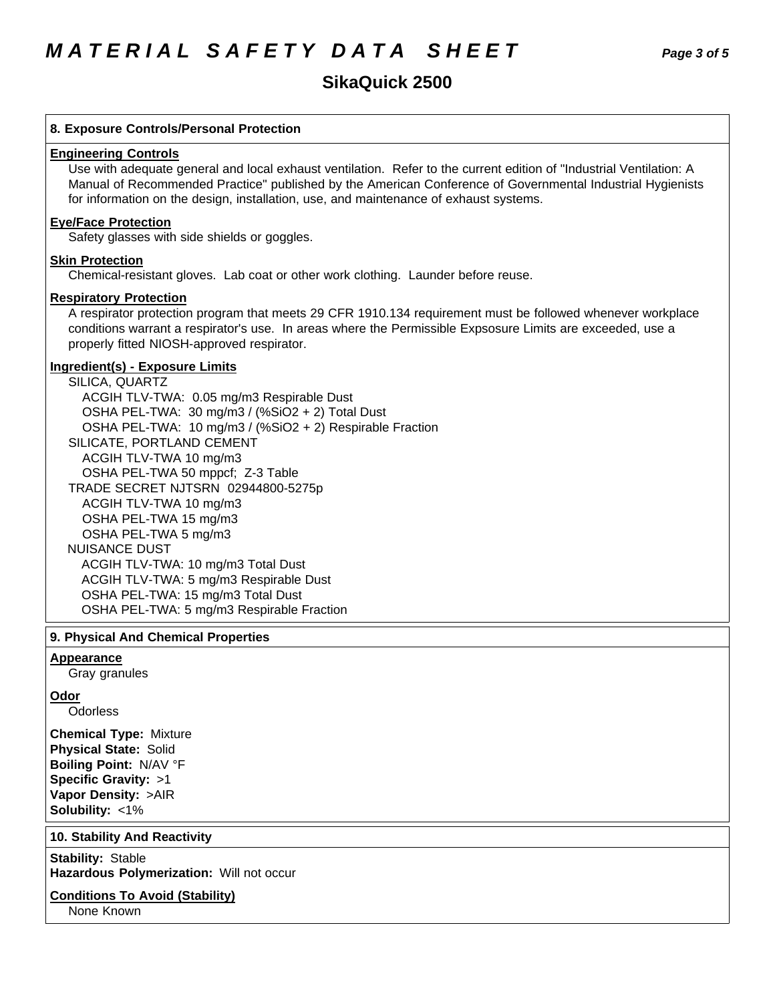# **8. Exposure Controls/Personal Protection**

#### **Engineering Controls**

Use with adequate general and local exhaust ventilation. Refer to the current edition of "Industrial Ventilation: A Manual of Recommended Practice" published by the American Conference of Governmental Industrial Hygienists for information on the design, installation, use, and maintenance of exhaust systems.

# **Eye/Face Protection**

Safety glasses with side shields or goggles.

# **Skin Protection**

Chemical-resistant gloves. Lab coat or other work clothing. Launder before reuse.

# **Respiratory Protection**

A respirator protection program that meets 29 CFR 1910.134 requirement must be followed whenever workplace conditions warrant a respirator's use. In areas where the Permissible Expsosure Limits are exceeded, use a properly fitted NIOSH-approved respirator.

# **Ingredient(s) - Exposure Limits**

SILICA, QUARTZ ACGIH TLV-TWA: 0.05 mg/m3 Respirable Dust OSHA PEL-TWA: 30 mg/m3 / (%SiO2 + 2) Total Dust OSHA PEL-TWA: 10 mg/m3 / (%SiO2 + 2) Respirable Fraction SILICATE, PORTLAND CEMENT ACGIH TLV-TWA10 mg/m3 OSHA PEL-TWA 50 mppcf; Z-3 Table TRADE SECRET NJTSRN 02944800-5275p ACGIH TLV-TWA10 mg/m3 OSHA PEL-TWA 15 mg/m3 OSHA PEL-TWA 5 mg/m3 NUISANCE DUST ACGIH TLV-TWA: 10 mg/m3 Total Dust ACGIH TLV-TWA: 5 mg/m3 Respirable Dust OSHA PEL-TWA: 15 mg/m3 Total Dust OSHA PEL-TWA: 5 mg/m3 Respirable Fraction

# **9. PhysicalAnd Chemical Properties**

# **Appearance**

Gray granules

#### **Odor**

**Odorless** 

**Chemical Type:** Mixture **Physical State:** Solid **Boiling Point:** N/AV°F **Specific Gravity:** >1 **Vapor Density:** >AIR **Solubility: <1%** 

# **10. Stability And Reactivity**

**Stability: Stable Hazardous Polymerization: Will not occur** 

# **Conditions To Avoid (Stability)**

None Known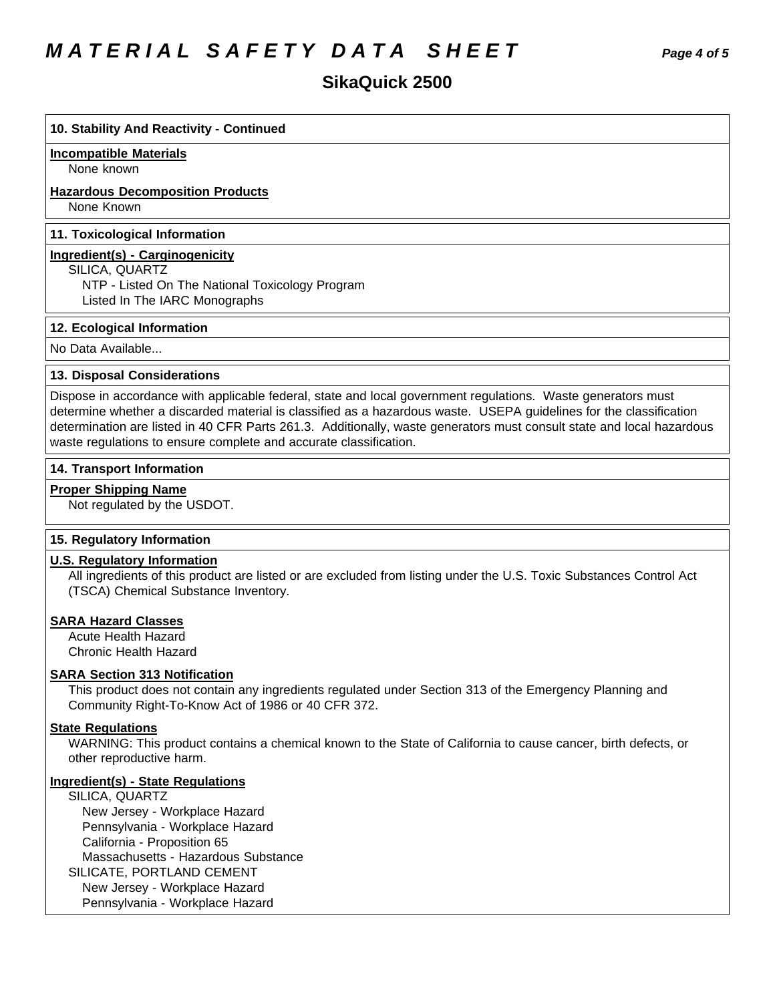# *MATERIAL SAFETY DATA SHEET Page 4 of 5*

# **10. Stability And Reactivity - Continued**

#### **Incompatible Materials**

None known

# **Hazardous Decomposition Products**

None Known

#### **11. Toxicological Information**

#### **Ingredient(s) - Carginogenicity**

SILICA, QUARTZ

NTP - Listed On The National Toxicology Program Listed In The IARC Monographs

# **12. Ecological Information**

No Data Available...

# **13. Disposal Considerations**

Dispose in accordance with applicable federal, state and local government regulations. Waste generators must determine whether a discarded material is classified as a hazardous waste. USEPA guidelines for the classification determination are listed in 40 CFR Parts 261.3. Additionally, waste generators must consult state and local hazardous waste regulations to ensure complete and accurate classification.

#### **14. Transport Information**

#### **Proper Shipping Name**

Not regulated by the USDOT.

#### **15. Regulatory Information**

#### **U.S. Regulatory Information**

All ingredients of this product are listed or are excluded from listing under the U.S. Toxic Substances Control Act (TSCA) Chemical Substance Inventory.

# **SARA Hazard Classes**

Acute Health Hazard Chronic Health Hazard

# **SARA Section 313 Notification**

This product does not contain any ingredients regulated under Section 313 of the Emergency Planning and Community Right-To-Know Act of 1986 or 40 CFR 372.

# **State Regulations**

WARNING: This product contains a chemical known to the State of California to cause cancer, birth defects, or other reproductive harm.

# **Ingredient(s) - State Regulations**

SILICA, QUARTZ New Jersey - Workplace Hazard Pennsylvania - Workplace Hazard California - Proposition 65 Massachusetts - Hazardous Substance SILICATE, PORTLAND CEMENT New Jersey - Workplace Hazard Pennsylvania - Workplace Hazard